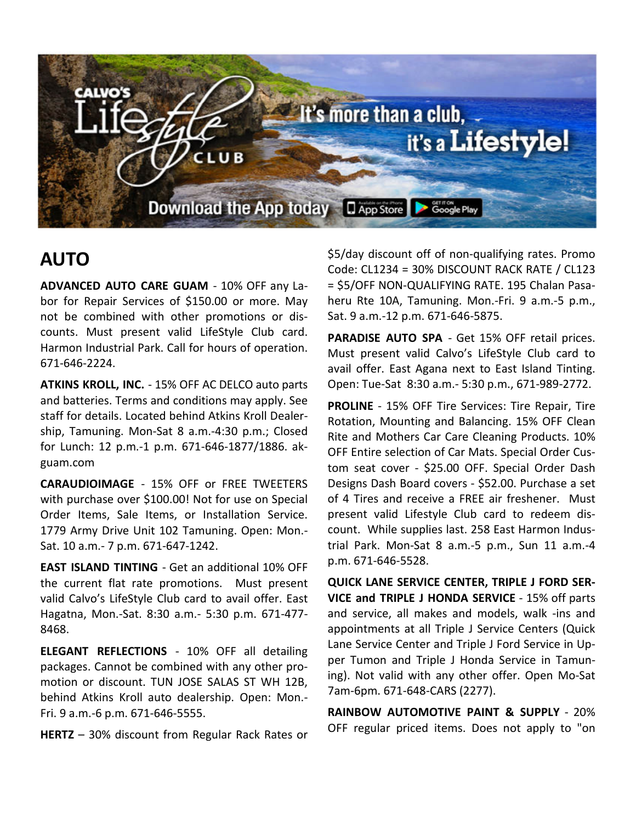

# **AUTO**

**ADVANCED AUTO CARE GUAM** - 10% OFF any Labor for Repair Services of \$150.00 or more. May not be combined with other promotions or discounts. Must present valid LifeStyle Club card. Harmon Industrial Park. Call for hours of operation. 671-646-2224.

**ATKINS KROLL, INC.** - 15% OFF AC DELCO auto parts and batteries. Terms and conditions may apply. See staff for details. Located behind Atkins Kroll Dealership, Tamuning. Mon-Sat 8 a.m.-4:30 p.m.; Closed for Lunch: 12 p.m.-1 p.m. 671-646-1877/1886. akguam.com

**CARAUDIOIMAGE** - 15% OFF or FREE TWEETERS with purchase over \$100.00! Not for use on Special Order Items, Sale Items, or Installation Service. 1779 Army Drive Unit 102 Tamuning. Open: Mon.- Sat. 10 a.m.- 7 p.m. 671-647-1242.

**EAST ISLAND TINTING** - Get an additional 10% OFF the current flat rate promotions. Must present valid Calvo's LifeStyle Club card to avail offer. East Hagatna, Mon.-Sat. 8:30 a.m.- 5:30 p.m. 671-477- 8468.

**ELEGANT REFLECTIONS** - 10% OFF all detailing packages. Cannot be combined with any other promotion or discount. TUN JOSE SALAS ST WH 12B, behind Atkins Kroll auto dealership. Open: Mon.- Fri. 9 a.m.-6 p.m. 671-646-5555.

**HERTZ** – 30% discount from Regular Rack Rates or

\$5/day discount off of non-qualifying rates. Promo Code: CL1234 = 30% DISCOUNT RACK RATE / CL123 = \$5/OFF NON-QUALIFYING RATE. 195 Chalan Pasaheru Rte 10A, Tamuning. Mon.-Fri. 9 a.m.-5 p.m., Sat. 9 a.m.-12 p.m. 671-646-5875.

**PARADISE AUTO SPA** - Get 15% OFF retail prices. Must present valid Calvo's LifeStyle Club card to avail offer. East Agana next to East Island Tinting. Open: Tue-Sat 8:30 a.m.- 5:30 p.m., 671-989-2772.

**PROLINE** - 15% OFF Tire Services: Tire Repair, Tire Rotation, Mounting and Balancing. 15% OFF Clean Rite and Mothers Car Care Cleaning Products. 10% OFF Entire selection of Car Mats. Special Order Custom seat cover - \$25.00 OFF. Special Order Dash Designs Dash Board covers - \$52.00. Purchase a set of 4 Tires and receive a FREE air freshener. Must present valid Lifestyle Club card to redeem discount. While supplies last. 258 East Harmon Industrial Park. Mon-Sat 8 a.m.-5 p.m., Sun 11 a.m.-4 p.m. 671-646-5528.

**QUICK LANE SERVICE CENTER, TRIPLE J FORD SER-VICE and TRIPLE J HONDA SERVICE** - 15% off parts and service, all makes and models, walk -ins and appointments at all Triple J Service Centers (Quick Lane Service Center and Triple J Ford Service in Upper Tumon and Triple J Honda Service in Tamuning). Not valid with any other offer. Open Mo-Sat 7am-6pm. 671-648-CARS (2277).

**RAINBOW AUTOMOTIVE PAINT & SUPPLY** - 20% OFF regular priced items. Does not apply to "on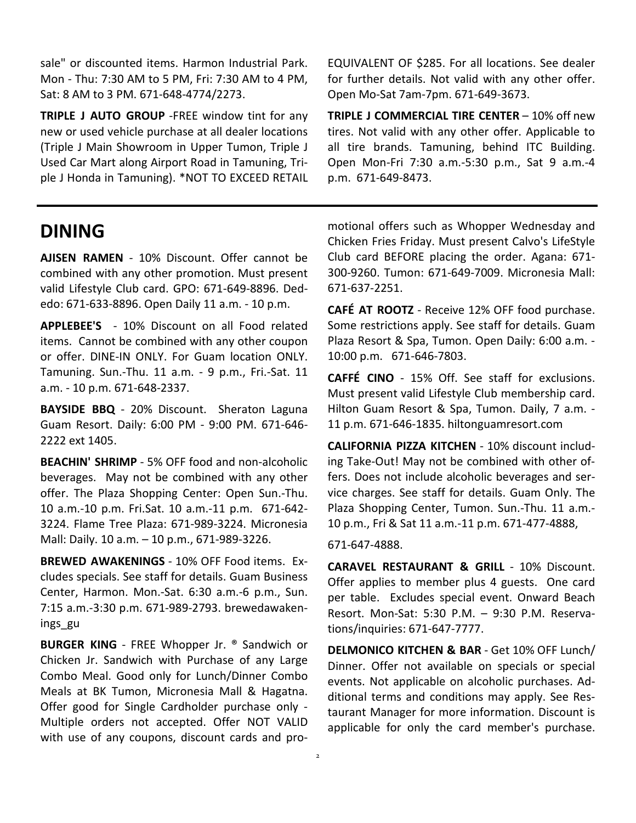sale" or discounted items. Harmon Industrial Park. Mon - Thu: 7:30 AM to 5 PM, Fri: 7:30 AM to 4 PM, Sat: 8 AM to 3 PM. 671-648-4774/2273.

**TRIPLE J AUTO GROUP** -FREE window tint for any new or used vehicle purchase at all dealer locations (Triple J Main Showroom in Upper Tumon, Triple J Used Car Mart along Airport Road in Tamuning, Triple J Honda in Tamuning). \*NOT TO EXCEED RETAIL

#### **DINING**

**AJISEN RAMEN** - 10% Discount. Offer cannot be combined with any other promotion. Must present valid Lifestyle Club card. GPO: 671-649-8896. Dededo: 671-633-8896. Open Daily 11 a.m. - 10 p.m.

**APPLEBEE'S** - 10% Discount on all Food related items. Cannot be combined with any other coupon or offer. DINE-IN ONLY. For Guam location ONLY. Tamuning. Sun.-Thu. 11 a.m. - 9 p.m., Fri.-Sat. 11 a.m. - 10 p.m. 671-648-2337.

**BAYSIDE BBQ** - 20% Discount. Sheraton Laguna Guam Resort. Daily: 6:00 PM - 9:00 PM. 671-646- 2222 ext 1405.

**BEACHIN' SHRIMP** - 5% OFF food and non-alcoholic beverages. May not be combined with any other offer. The Plaza Shopping Center: Open Sun.-Thu. 10 a.m.-10 p.m. Fri.Sat. 10 a.m.-11 p.m. 671-642- 3224. Flame Tree Plaza: 671-989-3224. Micronesia Mall: Daily. 10 a.m. – 10 p.m., 671-989-3226.

**BREWED AWAKENINGS** - 10% OFF Food items. Excludes specials. See staff for details. Guam Business Center, Harmon. Mon.-Sat. 6:30 a.m.-6 p.m., Sun. 7:15 a.m.-3:30 p.m. 671-989-2793. brewedawakenings\_gu

**BURGER KING** - FREE Whopper Jr. ® Sandwich or Chicken Jr. Sandwich with Purchase of any Large Combo Meal. Good only for Lunch/Dinner Combo Meals at BK Tumon, Micronesia Mall & Hagatna. Offer good for Single Cardholder purchase only - Multiple orders not accepted. Offer NOT VALID with use of any coupons, discount cards and proEQUIVALENT OF \$285. For all locations. See dealer for further details. Not valid with any other offer. Open Mo-Sat 7am-7pm. 671-649-3673.

**TRIPLE J COMMERCIAL TIRE CENTER** – 10% off new tires. Not valid with any other offer. Applicable to all tire brands. Tamuning, behind ITC Building. Open Mon-Fri 7:30 a.m.-5:30 p.m., Sat 9 a.m.-4 p.m. 671-649-8473.

motional offers such as Whopper Wednesday and Chicken Fries Friday. Must present Calvo's LifeStyle Club card BEFORE placing the order. Agana: 671- 300-9260. Tumon: 671-649-7009. Micronesia Mall: 671-637-2251.

**CAFÉ AT ROOTZ** - Receive 12% OFF food purchase. Some restrictions apply. See staff for details. Guam Plaza Resort & Spa, Tumon. Open Daily: 6:00 a.m. - 10:00 p.m. 671-646-7803.

**CAFFÉ CINO** - 15% Off. See staff for exclusions. Must present valid Lifestyle Club membership card. Hilton Guam Resort & Spa, Tumon. Daily, 7 a.m. - 11 p.m. 671-646-1835. hiltonguamresort.com

**CALIFORNIA PIZZA KITCHEN** - 10% discount including Take-Out! May not be combined with other offers. Does not include alcoholic beverages and service charges. See staff for details. Guam Only. The Plaza Shopping Center, Tumon. Sun.-Thu. 11 a.m.- 10 p.m., Fri & Sat 11 a.m.-11 p.m. 671-477-4888,

#### 671-647-4888.

**CARAVEL RESTAURANT & GRILL** - 10% Discount. Offer applies to member plus 4 guests. One card per table. Excludes special event. Onward Beach Resort. Mon-Sat: 5:30 P.M. – 9:30 P.M. Reservations/inquiries: 671-647-7777.

**DELMONICO KITCHEN & BAR** - Get 10% OFF Lunch/ Dinner. Offer not available on specials or special events. Not applicable on alcoholic purchases. Additional terms and conditions may apply. See Restaurant Manager for more information. Discount is applicable for only the card member's purchase.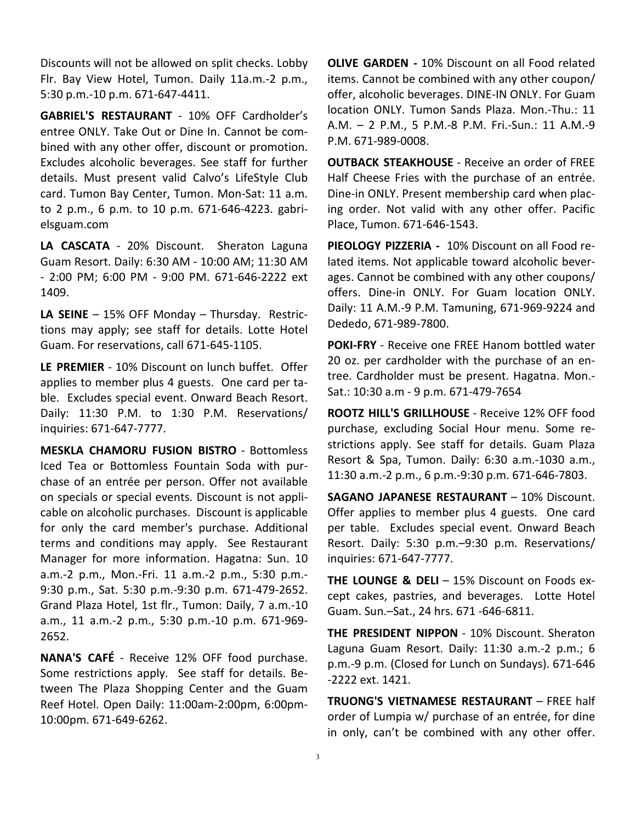Discounts will not be allowed on split checks. Lobby Flr. Bay View Hotel, Tumon. Daily 11a.m.-2 p.m., 5:30 p.m.-10 p.m. 671-647-4411.

**GABRIEL'S RESTAURANT** - 10% OFF Cardholder's entree ONLY. Take Out or Dine In. Cannot be combined with any other offer, discount or promotion. Excludes alcoholic beverages. See staff for further details. Must present valid Calvo's LifeStyle Club card. Tumon Bay Center, Tumon. Mon-Sat: 11 a.m. to 2 p.m., 6 p.m. to 10 p.m. 671-646-4223. gabrielsguam.com

**LA CASCATA** - 20% Discount. Sheraton Laguna Guam Resort. Daily: 6:30 AM - 10:00 AM; 11:30 AM - 2:00 PM; 6:00 PM - 9:00 PM. 671-646-2222 ext 1409.

**LA SEINE** – 15% OFF Monday – Thursday. Restrictions may apply; see staff for details. Lotte Hotel Guam. For reservations, call 671-645-1105.

**LE PREMIER** - 10% Discount on lunch buffet. Offer applies to member plus 4 guests. One card per table. Excludes special event. Onward Beach Resort. Daily: 11:30 P.M. to 1:30 P.M. Reservations/ inquiries: 671-647-7777.

**MESKLA CHAMORU FUSION BISTRO** - Bottomless Iced Tea or Bottomless Fountain Soda with purchase of an entrée per person. Offer not available on specials or special events. Discount is not applicable on alcoholic purchases. Discount is applicable for only the card member's purchase. Additional terms and conditions may apply. See Restaurant Manager for more information. Hagatna: Sun. 10 a.m.-2 p.m., Mon.-Fri. 11 a.m.-2 p.m., 5:30 p.m.- 9:30 p.m., Sat. 5:30 p.m.-9:30 p.m. 671-479-2652. Grand Plaza Hotel, 1st flr., Tumon: Daily, 7 a.m.-10 a.m., 11 a.m.-2 p.m., 5:30 p.m.-10 p.m. 671-969- 2652.

**NANA'S CAFÉ** - Receive 12% OFF food purchase. Some restrictions apply. See staff for details. Between The Plaza Shopping Center and the Guam Reef Hotel. Open Daily: 11:00am-2:00pm, 6:00pm-10:00pm. 671-649-6262.

**OLIVE GARDEN -** 10% Discount on all Food related items. Cannot be combined with any other coupon/ offer, alcoholic beverages. DINE-IN ONLY. For Guam location ONLY. Tumon Sands Plaza. Mon.-Thu.: 11 A.M. – 2 P.M., 5 P.M.-8 P.M. Fri.-Sun.: 11 A.M.-9 P.M. 671-989-0008.

**OUTBACK STEAKHOUSE** - Receive an order of FREE Half Cheese Fries with the purchase of an entrée. Dine-in ONLY. Present membership card when placing order. Not valid with any other offer. Pacific Place, Tumon. 671-646-1543.

**PIEOLOGY PIZZERIA -** 10% Discount on all Food related items. Not applicable toward alcoholic beverages. Cannot be combined with any other coupons/ offers. Dine-in ONLY. For Guam location ONLY. Daily: 11 A.M.-9 P.M. Tamuning, 671-969-9224 and Dededo, 671-989-7800.

**POKI-FRY** - Receive one FREE Hanom bottled water 20 oz. per cardholder with the purchase of an entree. Cardholder must be present. Hagatna. Mon.- Sat.: 10:30 a.m - 9 p.m. 671-479-7654

**ROOTZ HILL'S GRILLHOUSE** - Receive 12% OFF food purchase, excluding Social Hour menu. Some restrictions apply. See staff for details. Guam Plaza Resort & Spa, Tumon. Daily: 6:30 a.m.-1030 a.m., 11:30 a.m.-2 p.m., 6 p.m.-9:30 p.m. 671-646-7803.

**SAGANO JAPANESE RESTAURANT** – 10% Discount. Offer applies to member plus 4 guests. One card per table. Excludes special event. Onward Beach Resort. Daily: 5:30 p.m.–9:30 p.m. Reservations/ inquiries: 671-647-7777.

**THE LOUNGE & DELI** – 15% Discount on Foods except cakes, pastries, and beverages. Lotte Hotel Guam. Sun.–Sat., 24 hrs. 671 -646-6811.

**THE PRESIDENT NIPPON** - 10% Discount. Sheraton Laguna Guam Resort. Daily: 11:30 a.m.-2 p.m.; 6 p.m.-9 p.m. (Closed for Lunch on Sundays). 671-646 -2222 ext. 1421.

**TRUONG'S VIETNAMESE RESTAURANT** – FREE half order of Lumpia w/ purchase of an entrée, for dine in only, can't be combined with any other offer.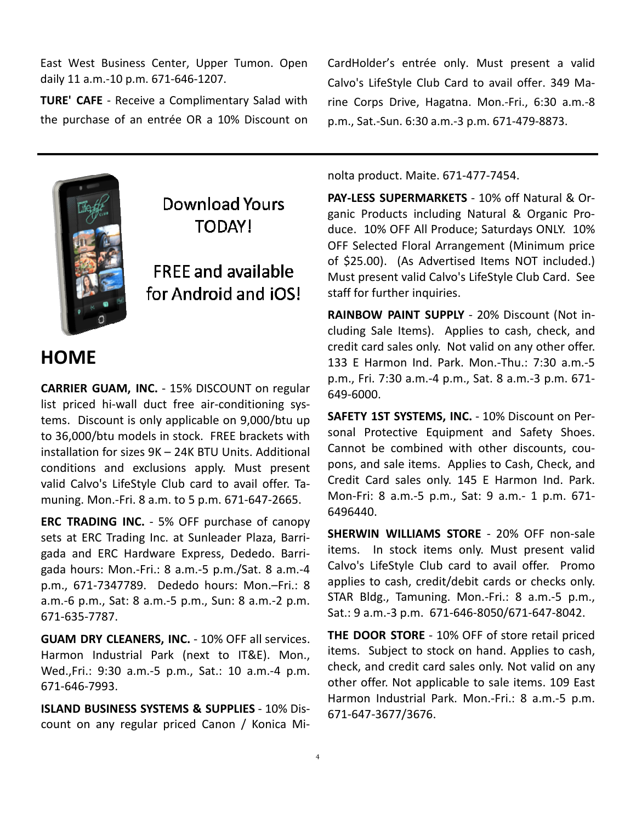East West Business Center, Upper Tumon. Open daily 11 a.m.-10 p.m. 671-646-1207.

**TURE' CAFE** - Receive a Complimentary Salad with the purchase of an entrée OR a 10% Discount on



# **Download Yours** TODAY!

**FRFF and available** for Android and iOS!

# **HOME**

**CARRIER GUAM, INC.** - 15% DISCOUNT on regular list priced hi-wall duct free air-conditioning systems. Discount is only applicable on 9,000/btu up to 36,000/btu models in stock. FREE brackets with installation for sizes 9K – 24K BTU Units. Additional conditions and exclusions apply. Must present valid Calvo's LifeStyle Club card to avail offer. Tamuning. Mon.-Fri. 8 a.m. to 5 p.m. 671-647-2665.

**ERC TRADING INC.** - 5% OFF purchase of canopy sets at ERC Trading Inc. at Sunleader Plaza, Barrigada and ERC Hardware Express, Dededo. Barrigada hours: Mon.-Fri.: 8 a.m.-5 p.m./Sat. 8 a.m.-4 p.m., 671-7347789. Dededo hours: Mon.–Fri.: 8 a.m.-6 p.m., Sat: 8 a.m.-5 p.m., Sun: 8 a.m.-2 p.m. 671-635-7787.

**GUAM DRY CLEANERS, INC.** - 10% OFF all services. Harmon Industrial Park (next to IT&E). Mon., Wed.,Fri.: 9:30 a.m.-5 p.m., Sat.: 10 a.m.-4 p.m. 671-646-7993.

**ISLAND BUSINESS SYSTEMS & SUPPLIES** - 10% Discount on any regular priced Canon / Konica MiCardHolder's entrée only. Must present a valid Calvo's LifeStyle Club Card to avail offer. 349 Marine Corps Drive, Hagatna. Mon.-Fri., 6:30 a.m.-8 p.m., Sat.-Sun. 6:30 a.m.-3 p.m. 671-479-8873.

nolta product. Maite. 671-477-7454.

**PAY-LESS SUPERMARKETS** - 10% off Natural & Organic Products including Natural & Organic Produce. 10% OFF All Produce; Saturdays ONLY. 10% OFF Selected Floral Arrangement (Minimum price of \$25.00). (As Advertised Items NOT included.) Must present valid Calvo's LifeStyle Club Card. See staff for further inquiries.

**RAINBOW PAINT SUPPLY** - 20% Discount (Not including Sale Items). Applies to cash, check, and credit card sales only. Not valid on any other offer. 133 E Harmon Ind. Park. Mon.-Thu.: 7:30 a.m.-5 p.m., Fri. 7:30 a.m.-4 p.m., Sat. 8 a.m.-3 p.m. 671- 649-6000.

**SAFETY 1ST SYSTEMS, INC.** - 10% Discount on Personal Protective Equipment and Safety Shoes. Cannot be combined with other discounts, coupons, and sale items. Applies to Cash, Check, and Credit Card sales only. 145 E Harmon Ind. Park. Mon-Fri: 8 a.m.-5 p.m., Sat: 9 a.m.- 1 p.m. 671- 6496440.

**SHERWIN WILLIAMS STORE** - 20% OFF non-sale items. In stock items only. Must present valid Calvo's LifeStyle Club card to avail offer. Promo applies to cash, credit/debit cards or checks only. STAR Bldg., Tamuning. Mon.-Fri.: 8 a.m.-5 p.m., Sat.: 9 a.m.-3 p.m. 671-646-8050/671-647-8042.

**THE DOOR STORE** - 10% OFF of store retail priced items. Subject to stock on hand. Applies to cash, check, and credit card sales only. Not valid on any other offer. Not applicable to sale items. 109 East Harmon Industrial Park. Mon.-Fri.: 8 a.m.-5 p.m. 671-647-3677/3676.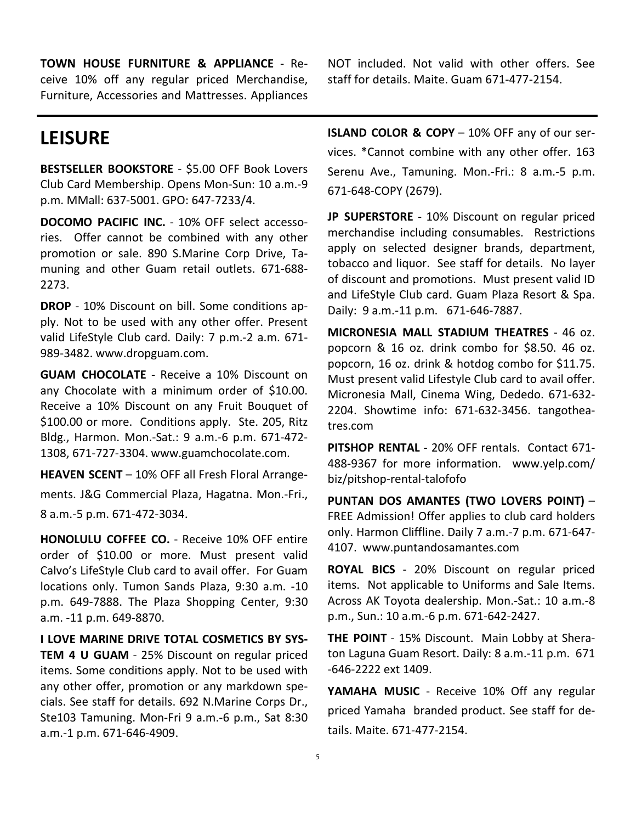**TOWN HOUSE FURNITURE & APPLIANCE** - Receive 10% off any regular priced Merchandise, Furniture, Accessories and Mattresses. Appliances

## **LEISURE**

**BESTSELLER BOOKSTORE** - \$5.00 OFF Book Lovers Club Card Membership. Opens Mon-Sun: 10 a.m.-9 p.m. MMall: 637-5001. GPO: 647-7233/4.

**DOCOMO PACIFIC INC.** - 10% OFF select accessories. Offer cannot be combined with any other promotion or sale. 890 S.Marine Corp Drive, Tamuning and other Guam retail outlets. 671-688- 2273.

**DROP** - 10% Discount on bill. Some conditions apply. Not to be used with any other offer. Present valid LifeStyle Club card. Daily: 7 p.m.-2 a.m. 671- 989-3482. www.dropguam.com.

**GUAM CHOCOLATE** - Receive a 10% Discount on any Chocolate with a minimum order of \$10.00. Receive a 10% Discount on any Fruit Bouquet of \$100.00 or more. Conditions apply. Ste. 205, Ritz Bldg., Harmon. Mon.-Sat.: 9 a.m.-6 p.m. 671-472- 1308, 671-727-3304. www.guamchocolate.com.

**HEAVEN SCENT** – 10% OFF all Fresh Floral Arrangements. J&G Commercial Plaza, Hagatna. Mon.-Fri., 8 a.m.-5 p.m. 671-472-3034.

**HONOLULU COFFEE CO.** - Receive 10% OFF entire order of \$10.00 or more. Must present valid Calvo's LifeStyle Club card to avail offer. For Guam locations only. Tumon Sands Plaza, 9:30 a.m. -10 p.m. 649-7888. The Plaza Shopping Center, 9:30 a.m. -11 p.m. 649-8870.

**I LOVE MARINE DRIVE TOTAL COSMETICS BY SYS-TEM 4 U GUAM** - 25% Discount on regular priced items. Some conditions apply. Not to be used with any other offer, promotion or any markdown specials. See staff for details. 692 N.Marine Corps Dr., Ste103 Tamuning. Mon-Fri 9 a.m.-6 p.m., Sat 8:30 a.m.-1 p.m. 671-646-4909.

NOT included. Not valid with other offers. See staff for details. Maite. Guam 671-477-2154.

**ISLAND COLOR & COPY** – 10% OFF any of our services. \*Cannot combine with any other offer. 163 Serenu Ave., Tamuning. Mon.-Fri.: 8 a.m.-5 p.m. 671-648-COPY (2679).

**JP SUPERSTORE** - 10% Discount on regular priced merchandise including consumables. Restrictions apply on selected designer brands, department, tobacco and liquor. See staff for details. No layer of discount and promotions. Must present valid ID and LifeStyle Club card. Guam Plaza Resort & Spa. Daily: 9 a.m.-11 p.m. 671-646-7887.

**MICRONESIA MALL STADIUM THEATRES** - 46 oz. popcorn & 16 oz. drink combo for \$8.50. 46 oz. popcorn, 16 oz. drink & hotdog combo for \$11.75. Must present valid Lifestyle Club card to avail offer. Micronesia Mall, Cinema Wing, Dededo. 671-632- 2204. Showtime info: 671-632-3456. tangotheatres.com

**PITSHOP RENTAL** - 20% OFF rentals. Contact 671- 488-9367 for more information. www.yelp.com/ biz/pitshop-rental-talofofo

**PUNTAN DOS AMANTES (TWO LOVERS POINT)** – FREE Admission! Offer applies to club card holders only. Harmon Cliffline. Daily 7 a.m.-7 p.m. 671-647- 4107. www.puntandosamantes.com

**ROYAL BICS** - 20% Discount on regular priced items. Not applicable to Uniforms and Sale Items. Across AK Toyota dealership. Mon.-Sat.: 10 a.m.-8 p.m., Sun.: 10 a.m.-6 p.m. 671-642-2427.

**THE POINT** - 15% Discount. Main Lobby at Sheraton Laguna Guam Resort. Daily: 8 a.m.-11 p.m. 671 -646-2222 ext 1409.

**YAMAHA MUSIC** - Receive 10% Off any regular priced Yamaha branded product. See staff for details. Maite. 671-477-2154.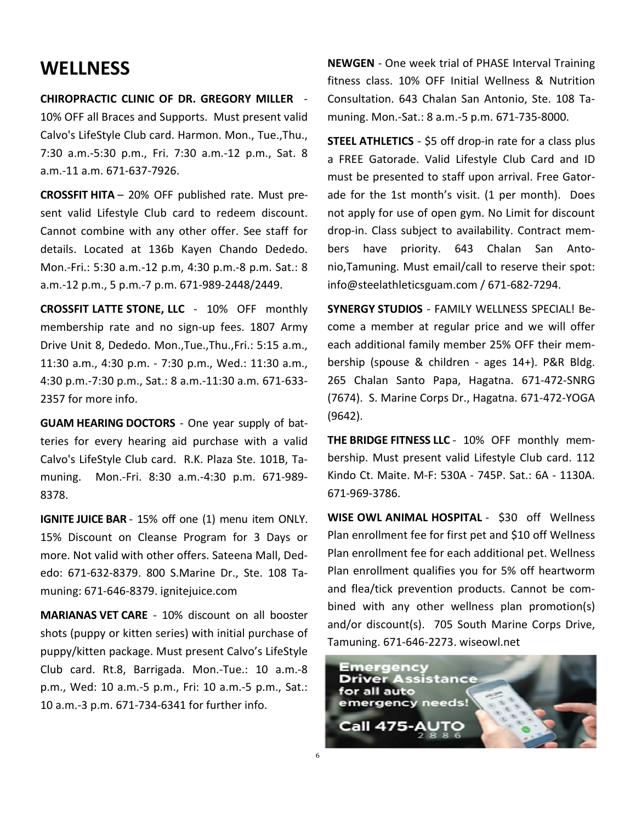#### **WELLNESS**

**CHIROPRACTIC CLINIC OF DR. GREGORY MILLER** -

10% OFF all Braces and Supports. Must present valid Calvo's LifeStyle Club card. Harmon. Mon., Tue.,Thu., 7:30 a.m.-5:30 p.m., Fri. 7:30 a.m.-12 p.m., Sat. 8 a.m.-11 a.m. 671-637-7926.

**CROSSFIT HITA** – 20% OFF published rate. Must present valid Lifestyle Club card to redeem discount. Cannot combine with any other offer. See staff for details. Located at 136b Kayen Chando Dededo. Mon.-Fri.: 5:30 a.m.-12 p.m, 4:30 p.m.-8 p.m. Sat.: 8 a.m.-12 p.m., 5 p.m.-7 p.m. 671-989-2448/2449.

**CROSSFIT LATTE STONE, LLC** - 10% OFF monthly membership rate and no sign-up fees. 1807 Army Drive Unit 8, Dededo. Mon.,Tue.,Thu.,Fri.: 5:15 a.m., 11:30 a.m., 4:30 p.m. - 7:30 p.m., Wed.: 11:30 a.m., 4:30 p.m.-7:30 p.m., Sat.: 8 a.m.-11:30 a.m. 671-633- 2357 for more info.

**GUAM HEARING DOCTORS** - One year supply of batteries for every hearing aid purchase with a valid Calvo's LifeStyle Club card. R.K. Plaza Ste. 101B, Tamuning. Mon.-Fri. 8:30 a.m.-4:30 p.m. 671-989- 8378.

**IGNITE JUICE BAR** - 15% off one (1) menu item ONLY. 15% Discount on Cleanse Program for 3 Days or more. Not valid with other offers. Sateena Mall, Dededo: 671-632-8379. 800 S.Marine Dr., Ste. 108 Tamuning: 671-646-8379. ignitejuice.com

**MARIANAS VET CARE** - 10% discount on all booster shots (puppy or kitten series) with initial purchase of puppy/kitten package. Must present Calvo's LifeStyle Club card. Rt.8, Barrigada. Mon.-Tue.: 10 a.m.-8 p.m., Wed: 10 a.m.-5 p.m., Fri: 10 a.m.-5 p.m., Sat.: 10 a.m.-3 p.m. 671-734-6341 for further info.

**NEWGEN** - One week trial of PHASE Interval Training fitness class. 10% OFF Initial Wellness & Nutrition Consultation. 643 Chalan San Antonio, Ste. 108 Tamuning. Mon.-Sat.: 8 a.m.-5 p.m. 671-735-8000.

**STEEL ATHLETICS** - \$5 off drop-in rate for a class plus a FREE Gatorade. Valid Lifestyle Club Card and ID must be presented to staff upon arrival. Free Gatorade for the 1st month's visit. (1 per month). Does not apply for use of open gym. No Limit for discount drop-in. Class subject to availability. Contract members have priority. 643 Chalan San Antonio,Tamuning. Must email/call to reserve their spot: info@steelathleticsguam.com / 671-682-7294.

**SYNERGY STUDIOS** - FAMILY WELLNESS SPECIAL! Become a member at regular price and we will offer each additional family member 25% OFF their membership (spouse & children - ages 14+). P&R Bldg. 265 Chalan Santo Papa, Hagatna. 671-472-SNRG (7674). S. Marine Corps Dr., Hagatna. 671-472-YOGA (9642).

**THE BRIDGE FITNESS LLC** - 10% OFF monthly membership. Must present valid Lifestyle Club card. 112 Kindo Ct. Maite. M-F: 530A - 745P. Sat.: 6A - 1130A. 671-969-3786.

**WISE OWL ANIMAL HOSPITAL** - \$30 off Wellness Plan enrollment fee for first pet and \$10 off Wellness Plan enrollment fee for each additional pet. Wellness Plan enrollment qualifies you for 5% off heartworm and flea/tick prevention products. Cannot be combined with any other wellness plan promotion(s) and/or discount(s). 705 South Marine Corps Drive, Tamuning. 671-646-2273. wiseowl.net

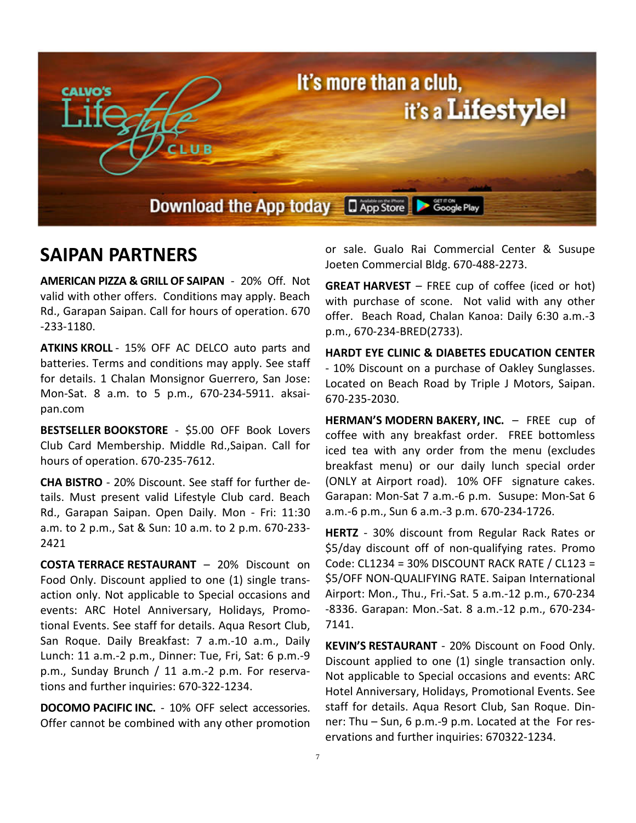

### **SAIPAN PARTNERS**

**AMERICAN PIZZA & GRILL OF SAIPAN** - 20% Off. Not valid with other offers. Conditions may apply. Beach Rd., Garapan Saipan. Call for hours of operation. 670 -233-1180.

**ATKINS KROLL** - 15% OFF AC DELCO auto parts and batteries. Terms and conditions may apply. See staff for details. 1 Chalan Monsignor Guerrero, San Jose: Mon-Sat. 8 a.m. to 5 p.m., 670-234-5911. aksaipan.com

**BESTSELLER BOOKSTORE** - \$5.00 OFF Book Lovers Club Card Membership. Middle Rd.,Saipan. Call for hours of operation. 670-235-7612.

**CHA BISTRO** - 20% Discount. See staff for further details. Must present valid Lifestyle Club card. Beach Rd., Garapan Saipan. Open Daily. Mon - Fri: 11:30 a.m. to 2 p.m., Sat & Sun: 10 a.m. to 2 p.m. 670-233- 2421

**COSTA TERRACE RESTAURANT** – 20% Discount on Food Only. Discount applied to one (1) single transaction only. Not applicable to Special occasions and events: ARC Hotel Anniversary, Holidays, Promotional Events. See staff for details. Aqua Resort Club, San Roque. Daily Breakfast: 7 a.m.-10 a.m., Daily Lunch: 11 a.m.-2 p.m., Dinner: Tue, Fri, Sat: 6 p.m.-9 p.m., Sunday Brunch / 11 a.m.-2 p.m. For reservations and further inquiries: 670-322-1234.

**DOCOMO PACIFIC INC.** - 10% OFF select accessories. Offer cannot be combined with any other promotion or sale. Gualo Rai Commercial Center & Susupe Joeten Commercial Bldg. 670-488-2273.

**GREAT HARVEST** – FREE cup of coffee (iced or hot) with purchase of scone. Not valid with any other offer. Beach Road, Chalan Kanoa: Daily 6:30 a.m.-3 p.m., 670-234-BRED(2733).

**HARDT EYE CLINIC & DIABETES EDUCATION CENTER** - 10% Discount on a purchase of Oakley Sunglasses. Located on Beach Road by Triple J Motors, Saipan. 670-235-2030.

**HERMAN'S MODERN BAKERY, INC.** – FREE cup of coffee with any breakfast order. FREE bottomless iced tea with any order from the menu (excludes breakfast menu) or our daily lunch special order (ONLY at Airport road). 10% OFF signature cakes. Garapan: Mon-Sat 7 a.m.-6 p.m. Susupe: Mon-Sat 6 a.m.-6 p.m., Sun 6 a.m.-3 p.m. 670-234-1726.

**HERTZ** - 30% discount from Regular Rack Rates or \$5/day discount off of non-qualifying rates. Promo Code: CL1234 = 30% DISCOUNT RACK RATE / CL123 = \$5/OFF NON-QUALIFYING RATE. Saipan International Airport: Mon., Thu., Fri.-Sat. 5 a.m.-12 p.m., 670-234 -8336. Garapan: Mon.-Sat. 8 a.m.-12 p.m., 670-234- 7141.

**KEVIN'S RESTAURANT** - 20% Discount on Food Only. Discount applied to one (1) single transaction only. Not applicable to Special occasions and events: ARC Hotel Anniversary, Holidays, Promotional Events. See staff for details. Aqua Resort Club, San Roque. Dinner: Thu – Sun, 6 p.m.-9 p.m. Located at the For reservations and further inquiries: 670322-1234.